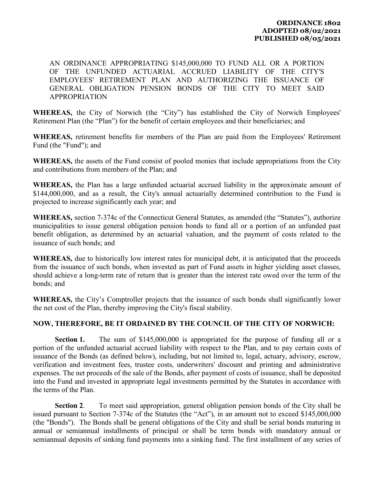AN ORDINANCE APPROPRIATING \$145,000,000 TO FUND ALL OR A PORTION OF THE UNFUNDED ACTUARIAL ACCRUED LIABILITY OF THE CITY'S EMPLOYEES' RETIREMENT PLAN AND AUTHORIZING THE ISSUANCE OF GENERAL OBLIGATION PENSION BONDS OF THE CITY TO MEET SAID APPROPRIATION

**WHEREAS,** the City of Norwich (the "City") has established the City of Norwich Employees' Retirement Plan (the "Plan") for the benefit of certain employees and their beneficiaries; and

**WHEREAS,** retirement benefits for members of the Plan are paid from the Employees' Retirement Fund (the "Fund"); and

**WHEREAS,** the assets of the Fund consist of pooled monies that include appropriations from the City and contributions from members of the Plan; and

**WHEREAS,** the Plan has a large unfunded actuarial accrued liability in the approximate amount of \$144,000,000, and as a result, the City's annual actuarially determined contribution to the Fund is projected to increase significantly each year; and

**WHEREAS,** section 7-374c of the Connecticut General Statutes, as amended (the "Statutes"), authorize municipalities to issue general obligation pension bonds to fund all or a portion of an unfunded past benefit obligation, as determined by an actuarial valuation, and the payment of costs related to the issuance of such bonds; and

**WHEREAS,** due to historically low interest rates for municipal debt, it is anticipated that the proceeds from the issuance of such bonds, when invested as part of Fund assets in higher yielding asset classes, should achieve a long-term rate of return that is greater than the interest rate owed over the term of the bonds; and

**WHEREAS,** the City's Comptroller projects that the issuance of such bonds shall significantly lower the net cost of the Plan, thereby improving the City's fiscal stability.

## **NOW, THEREFORE, BE IT ORDAINED BY THE COUNCIL OF THE CITY OF NORWICH:**

**Section 1.** The sum of \$145,000,000 is appropriated for the purpose of funding all or a portion of the unfunded actuarial accrued liability with respect to the Plan, and to pay certain costs of issuance of the Bonds (as defined below), including, but not limited to, legal, actuary, advisory, escrow, verification and investment fees, trustee costs, underwriters' discount and printing and administrative expenses. The net proceeds of the sale of the Bonds, after payment of costs of issuance, shall be deposited into the Fund and invested in appropriate legal investments permitted by the Statutes in accordance with the terms of the Plan.

**Section 2**. To meet said appropriation, general obligation pension bonds of the City shall be issued pursuant to Section 7-374c of the Statutes (the "Act"), in an amount not to exceed \$145,000,000 (the "Bonds"). The Bonds shall be general obligations of the City and shall be serial bonds maturing in annual or semiannual installments of principal or shall be term bonds with mandatory annual or semiannual deposits of sinking fund payments into a sinking fund. The first installment of any series of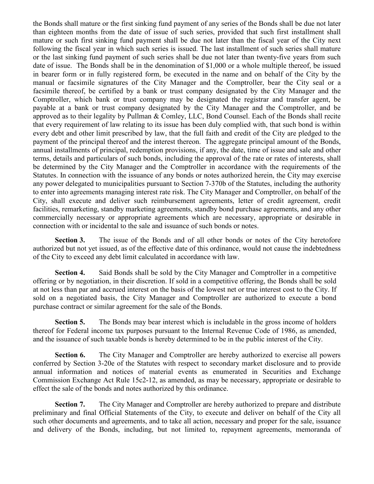the Bonds shall mature or the first sinking fund payment of any series of the Bonds shall be due not later than eighteen months from the date of issue of such series, provided that such first installment shall mature or such first sinking fund payment shall be due not later than the fiscal year of the City next following the fiscal year in which such series is issued. The last installment of such series shall mature or the last sinking fund payment of such series shall be due not later than twenty-five years from such date of issue. The Bonds shall be in the denomination of \$1,000 or a whole multiple thereof, be issued in bearer form or in fully registered form, be executed in the name and on behalf of the City by the manual or facsimile signatures of the City Manager and the Comptroller, bear the City seal or a facsimile thereof, be certified by a bank or trust company designated by the City Manager and the Comptroller, which bank or trust company may be designated the registrar and transfer agent, be payable at a bank or trust company designated by the City Manager and the Comptroller, and be approved as to their legality by Pullman & Comley, LLC, Bond Counsel. Each of the Bonds shall recite that every requirement of law relating to its issue has been duly complied with, that such bond is within every debt and other limit prescribed by law, that the full faith and credit of the City are pledged to the payment of the principal thereof and the interest thereon. The aggregate principal amount of the Bonds, annual installments of principal, redemption provisions, if any, the date, time of issue and sale and other terms, details and particulars of such bonds, including the approval of the rate or rates of interests, shall be determined by the City Manager and the Comptroller in accordance with the requirements of the Statutes. In connection with the issuance of any bonds or notes authorized herein, the City may exercise any power delegated to municipalities pursuant to Section 7-370b of the Statutes, including the authority to enter into agreements managing interest rate risk. The City Manager and Comptroller, on behalf of the City, shall execute and deliver such reimbursement agreements, letter of credit agreement, credit facilities, remarketing, standby marketing agreements, standby bond purchase agreements, and any other commercially necessary or appropriate agreements which are necessary, appropriate or desirable in connection with or incidental to the sale and issuance of such bonds or notes.

**Section 3.** The issue of the Bonds and of all other bonds or notes of the City heretofore authorized but not yet issued, as of the effective date of this ordinance, would not cause the indebtedness of the City to exceed any debt limit calculated in accordance with law.

**Section 4.** Said Bonds shall be sold by the City Manager and Comptroller in a competitive offering or by negotiation, in their discretion. If sold in a competitive offering, the Bonds shall be sold at not less than par and accrued interest on the basis of the lowest net or true interest cost to the City. If sold on a negotiated basis, the City Manager and Comptroller are authorized to execute a bond purchase contract or similar agreement for the sale of the Bonds.

**Section 5.** The Bonds may bear interest which is includable in the gross income of holders thereof for Federal income tax purposes pursuant to the Internal Revenue Code of 1986, as amended, and the issuance of such taxable bonds is hereby determined to be in the public interest of the City.

**Section 6.** The City Manager and Comptroller are hereby authorized to exercise all powers conferred by Section 3-20e of the Statutes with respect to secondary market disclosure and to provide annual information and notices of material events as enumerated in Securities and Exchange Commission Exchange Act Rule 15c2-12, as amended, as may be necessary, appropriate or desirable to effect the sale of the bonds and notes authorized by this ordinance.

**Section 7.** The City Manager and Comptroller are hereby authorized to prepare and distribute preliminary and final Official Statements of the City, to execute and deliver on behalf of the City all such other documents and agreements, and to take all action, necessary and proper for the sale, issuance and delivery of the Bonds, including, but not limited to, repayment agreements, memoranda of